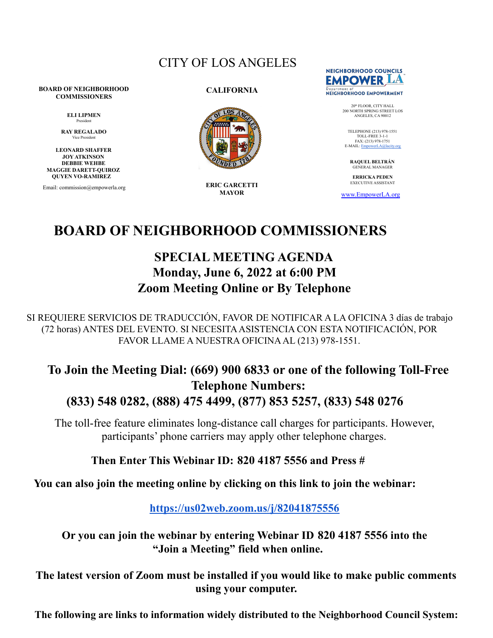### CITY OF LOS ANGELES

#### **BOARD OF NEIGHBORHOOD COMMISSIONERS**

**ELI LIPMEN** President

**RAY REGALADO** Vice Presid

**LEONARD SHAFFER JOY ATKINSON DEBBIE WEHBE MAGGIE DARETT-QUIROZ QUYEN VO-RAMIREZ**

Email: commission@empowerla.org

#### **CALIFORNIA**



**ERIC GARCETTI MAYOR**



20<sup>th</sup> FLOOR, CITY HALL<br>200 NORTH SPRING STREET LOS ANGELES, CA 90012

TELEPHONE (213) 978-1551 TOLL-FREE 3-1-1 FAX: (213) 978-1751 E-MAIL: [EmpowerLA@lacity.org](mailto:EmpowerLA@lacity.org)

**RAQUEL BELTRÁN** GENERAL MANAGER

**ERRICKA PEDEN** EXECUTIVE ASSISTANT

[www.EmpowerLA.org](http://www.empowerla.org)

# **BOARD OF NEIGHBORHOOD COMMISSIONERS**

## **SPECIAL MEETING AGENDA Monday, June 6, 2022 at 6:00 PM Zoom Meeting Online or By Telephone**

SI REQUIERE SERVICIOS DE TRADUCCIÓN, FAVOR DE NOTIFICAR A LA OFICINA 3 días de trabajo (72 horas) ANTES DEL EVENTO. SI NECESITAASISTENCIA CON ESTA NOTIFICACIÓN, POR FAVOR LLAME A NUESTRA OFICINAAL (213) 978-1551.

### **To Join the Meeting Dial: (669) 900 6833 or one of the following Toll-Free Telephone Numbers: (833) 548 0282, (888) 475 4499, (877) 853 5257, (833) 548 0276**

The toll-free feature eliminates long-distance call charges for participants. However, participants' phone carriers may apply other telephone charges.

### **Then Enter This Webinar ID: 820 4187 5556 and Press #**

**You can also join the meeting online by clicking on this link to join the webinar:**

**<https://us02web.zoom.us/j/82041875556>**

**Or you can join the webinar by entering Webinar ID 820 4187 5556 into the "Join a Meeting" field when online.**

**The latest version of Zoom must be installed if you would like to make public comments using your computer.**

**The following are links to information widely distributed to the Neighborhood Council System:**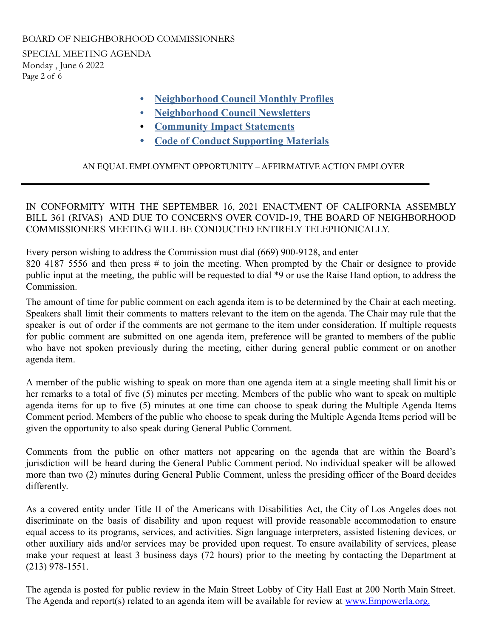SPECIAL MEETING AGENDA Monday , June 6 2022 Page 2 of 6

- **• [Neighborhood](https://drive.google.com/drive/folders/0B5gzygHdB99iLTlIUGNxb3BFQTQ) Council Monthly Profiles**
- **• [Neighborhood](https://docs.google.com/document/d/1umPsxBA9Um7SHQq7YlHLKkWxRx8uNpGcQsIYIIquJvk/edit) Council Newsletters**
- **• [Community](https://empowerla.org/commission/community-impact-statements/) Impact Statements**
- **• Code of Conduct [Supporting](http://tiny.cc/CodeConduct2021) Materials**

#### AN EQUAL EMPLOYMENT OPPORTUNITY – AFFIRMATIVE ACTION EMPLOYER

IN CONFORMITY WITH THE SEPTEMBER 16, 2021 ENACTMENT OF CALIFORNIA ASSEMBLY BILL 361 (RIVAS) AND DUE TO CONCERNS OVER COVID-19, THE BOARD OF NEIGHBORHOOD COMMISSIONERS MEETING WILL BE CONDUCTED ENTIRELY TELEPHONICALLY.

Every person wishing to address the Commission must dial (669) 900-9128, and enter 820 4187 5556 and then press # to join the meeting. When prompted by the Chair or designee to provide public input at the meeting, the public will be requested to dial \*9 or use the Raise Hand option, to address the **Commission** 

The amount of time for public comment on each agenda item is to be determined by the Chair at each meeting. Speakers shall limit their comments to matters relevant to the item on the agenda. The Chair may rule that the speaker is out of order if the comments are not germane to the item under consideration. If multiple requests for public comment are submitted on one agenda item, preference will be granted to members of the public who have not spoken previously during the meeting, either during general public comment or on another agenda item.

A member of the public wishing to speak on more than one agenda item at a single meeting shall limit his or her remarks to a total of five (5) minutes per meeting. Members of the public who want to speak on multiple agenda items for up to five (5) minutes at one time can choose to speak during the Multiple Agenda Items Comment period. Members of the public who choose to speak during the Multiple Agenda Items period will be given the opportunity to also speak during General Public Comment.

Comments from the public on other matters not appearing on the agenda that are within the Board's jurisdiction will be heard during the General Public Comment period. No individual speaker will be allowed more than two (2) minutes during General Public Comment, unless the presiding officer of the Board decides differently.

As a covered entity under Title II of the Americans with Disabilities Act, the City of Los Angeles does not discriminate on the basis of disability and upon request will provide reasonable accommodation to ensure equal access to its programs, services, and activities. Sign language interpreters, assisted listening devices, or other auxiliary aids and/or services may be provided upon request. To ensure availability of services, please make your request at least 3 business days (72 hours) prior to the meeting by contacting the Department at (213) 978-1551.

The agenda is posted for public review in the Main Street Lobby of City Hall East at 200 North Main Street. The Agenda and report(s) related to an agenda item will be available for review at [www.Empowerla.org.](http://www.empowerla.org/)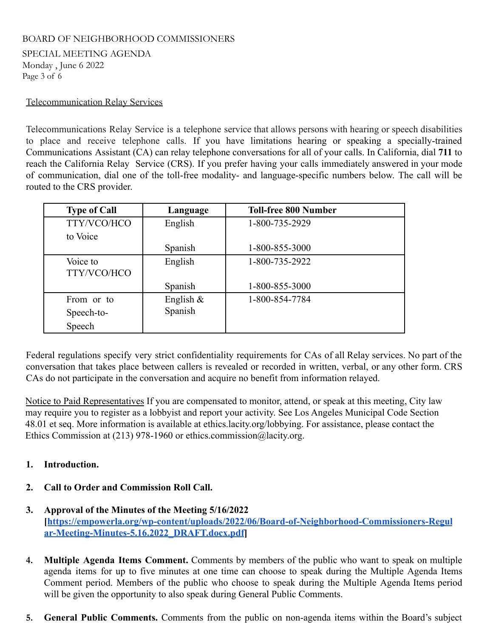SPECIAL MEETING AGENDA Monday , June 6 2022 Page 3 of 6

#### Telecommunication Relay Services

Telecommunications Relay Service is a telephone service that allows persons with hearing or speech disabilities to place and receive telephone calls. If you have limitations hearing or speaking a specially-trained Communications Assistant (CA) can relay telephone conversations for all of your calls. In California, dial **711** to reach the California Relay Service (CRS). If you prefer having your calls immediately answered in your mode of communication, dial one of the toll-free modality- and language-specific numbers below. The call will be routed to the CRS provider.

| <b>Type of Call</b>     | Language     | <b>Toll-free 800 Number</b> |
|-------------------------|--------------|-----------------------------|
| TTY/VCO/HCO             | English      | 1-800-735-2929              |
| to Voice                |              |                             |
|                         | Spanish      | 1-800-855-3000              |
| Voice to<br>TTY/VCO/HCO | English      | 1-800-735-2922              |
|                         | Spanish      | 1-800-855-3000              |
| From or to              | English $\&$ | 1-800-854-7784              |
| Speech-to-              | Spanish      |                             |
| Speech                  |              |                             |

Federal regulations specify very strict confidentiality requirements for CAs of all Relay services. No part of the conversation that takes place between callers is revealed or recorded in written, verbal, or any other form. CRS CAs do not participate in the conversation and acquire no benefit from information relayed.

Notice to Paid Representatives If you are compensated to monitor, attend, or speak at this meeting, City law may require you to register as a lobbyist and report your activity. See Los Angeles Municipal Code Section 48.01 et seq. More information is available at [ethics.lacity.org/lobbying](http://ethics.lacity.org/lobbying). For assistance, please contact the Ethics Commission at (213) 978-1960 or [ethics.commission@lacity.org.](mailto:ethics.commission@lacity.org)

#### **1. Introduction.**

- **2. Call to Order and Commission Roll Call.**
- **3. Approval of the Minutes of the Meeting 5/16/2022 [[https://empowerla.org/wp-content/uploads/2022/06/Board-of-Neighborhood-Commissioners-Regul](https://empowerla.org/wp-content/uploads/2022/06/Board-of-Neighborhood-Commissioners-Regular-Meeting-Minutes-5.16.2022_DRAFT.docx.pdf) [ar-Meeting-Minutes-5.16.2022\\_DRAFT.docx.pdf](https://empowerla.org/wp-content/uploads/2022/06/Board-of-Neighborhood-Commissioners-Regular-Meeting-Minutes-5.16.2022_DRAFT.docx.pdf)]**
- **4. Multiple Agenda Items Comment.** Comments by members of the public who want to speak on multiple agenda items for up to five minutes at one time can choose to speak during the Multiple Agenda Items Comment period. Members of the public who choose to speak during the Multiple Agenda Items period will be given the opportunity to also speak during General Public Comments.
- **5. General Public Comments.** Comments from the public on non-agenda items within the Board's subject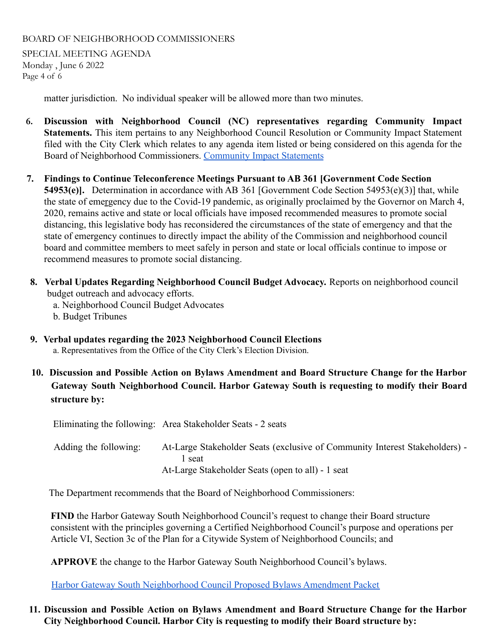SPECIAL MEETING AGENDA Monday , June 6 2022 Page 4 of 6

matter jurisdiction. No individual speaker will be allowed more than two minutes.

- **6. Discussion with Neighborhood Council (NC) representatives regarding Community Impact Statements.** This item pertains to any Neighborhood Council Resolution or Community Impact Statement filed with the City Clerk which relates to any agenda item listed or being considered on this agenda for the Board of Neighborhood Commissioners. [Community Impact](https://empowerla.org/commission/community-impact-statements/) Statements
- **7. Findings to Continue Teleconference Meetings Pursuant to AB 361 [Government Code Section 54953(e)].** Determination in accordance with AB 361 [Government Code Section 54953(e)(3)] that, while the state of emergency due to the Covid-19 pandemic, as originally proclaimed by the Governor on March 4, 2020, remains active and state or local officials have imposed recommended measures to promote social distancing, this legislative body has reconsidered the circumstances of the state of emergency and that the state of emergency continues to directly impact the ability of the Commission and neighborhood council board and committee members to meet safely in person and state or local officials continue to impose or recommend measures to promote social distancing.
- **8. Verbal Updates Regarding Neighborhood Council Budget Advocacy.** Reports on neighborhood council budget outreach and advocacy efforts.
	- a. Neighborhood Council Budget Advocates
	- b. Budget Tribunes
- **9. Verbal updates regarding the 2023 Neighborhood Council Elections** a. Representatives from the Office of the City Clerk's Election Division.
- **10. Discussion and Possible Action on Bylaws Amendment and Board Structure Change for the Harbor Gateway South Neighborhood Council. Harbor Gateway South is requesting to modify their Board structure by:**

Eliminating the following: Area Stakeholder Seats - 2 seats

| Adding the following: | At-Large Stakeholder Seats (exclusive of Community Interest Stakeholders) - |
|-----------------------|-----------------------------------------------------------------------------|
|                       | seat -                                                                      |
|                       | At-Large Stakeholder Seats (open to all) - 1 seat                           |

The Department recommends that the Board of Neighborhood Commissioners:

**FIND** the Harbor Gateway South Neighborhood Council's request to change their Board structure consistent with the principles governing a Certified Neighborhood Council's purpose and operations per Article VI, Section 3c of the Plan for a Citywide System of Neighborhood Councils; and

**APPROVE** the change to the Harbor Gateway South Neighborhood Council's bylaws.

[Harbor Gateway South Neighborhood Council Proposed](https://drive.google.com/drive/folders/134EhJbF5sEM8fvFHA4-qsljgHjAFUlGS?usp=sharing) Bylaws Amendment Packet

#### **11. Discussion and Possible Action on Bylaws Amendment and Board Structure Change for the Harbor City Neighborhood Council. Harbor City is requesting to modify their Board structure by:**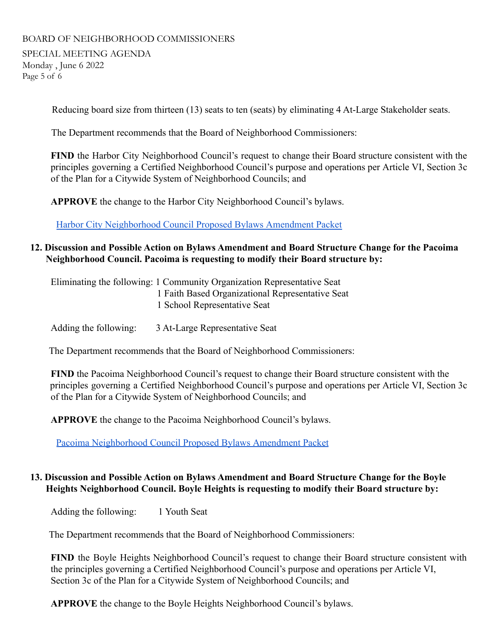SPECIAL MEETING AGENDA Monday , June 6 2022 Page 5 of 6

Reducing board size from thirteen (13) seats to ten (seats) by eliminating 4 At-Large Stakeholder seats.

The Department recommends that the Board of Neighborhood Commissioners:

**FIND** the Harbor City Neighborhood Council's request to change their Board structure consistent with the principles governing a Certified Neighborhood Council's purpose and operations per Article VI, Section 3c of the Plan for a Citywide System of Neighborhood Councils; and

**APPROVE** the change to the Harbor City Neighborhood Council's bylaws.

[Harbor City Neighborhood Council Proposed Bylaws](https://drive.google.com/drive/folders/18jeFgs70xbnu4VK7JiNNeP9jgd3o1VjC?usp=sharing) Amendment Packet

#### **12. Discussion and Possible Action on Bylaws Amendment and Board Structure Change for the Pacoima Neighborhood Council. Pacoima is requesting to modify their Board structure by:**

Eliminating the following: 1 Community Organization Representative Seat 1 Faith Based Organizational Representative Seat 1 School Representative Seat

Adding the following: 3 At-Large Representative Seat

The Department recommends that the Board of Neighborhood Commissioners:

**FIND** the Pacoima Neighborhood Council's request to change their Board structure consistent with the principles governing a Certified Neighborhood Council's purpose and operations per Article VI, Section 3c of the Plan for a Citywide System of Neighborhood Councils; and

**APPROVE** the change to the Pacoima Neighborhood Council's bylaws.

[Pacoima Neighborhood Council Proposed Bylaws](https://drive.google.com/drive/folders/1Jc-wTuRKJo8brD0VFQeaXEXvCI0I0IVp?usp=sharing) Amendment Packet

#### **13. Discussion and Possible Action on Bylaws Amendment and Board Structure Change for the Boyle Heights Neighborhood Council. Boyle Heights is requesting to modify their Board structure by:**

Adding the following: 1 Youth Seat

The Department recommends that the Board of Neighborhood Commissioners:

**FIND** the Boyle Heights Neighborhood Council's request to change their Board structure consistent with the principles governing a Certified Neighborhood Council's purpose and operations per Article VI, Section 3c of the Plan for a Citywide System of Neighborhood Councils; and

**APPROVE** the change to the Boyle Heights Neighborhood Council's bylaws.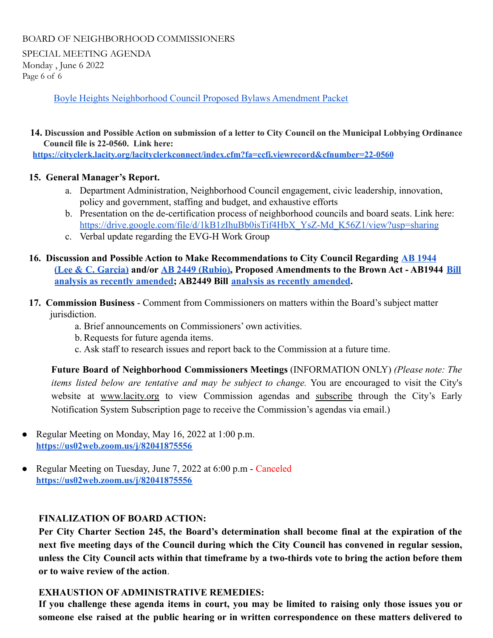SPECIAL MEETING AGENDA Monday , June 6 2022 Page 6 of 6

[Boyle Heights Neighborhood Council Proposed Bylaws Amendment Packet](https://drive.google.com/drive/folders/1wz6AxfNe_g0f767EH239PotMouCutRXe?usp=sharing)

#### 14. Discussion and Possible Action on submission of a letter to City Council on the Municipal Lobbying Ordinance **Council file is 22-0560. Link here:**

**<https://cityclerk.lacity.org/lacityclerkconnect/index.cfm?fa=ccfi.viewrecord&cfnumber=22-0560>**

#### **15. General Manager's Report.**

- a. Department Administration, Neighborhood Council engagement, civic leadership, innovation, policy and government, staffing and budget, and exhaustive efforts
- b. Presentation on the de-certification process of neighborhood councils and board seats. Link here: [https://drive.google.com/file/d/1kB1zIhuBb0isTif4HbX\\_YsZ-Md\\_K56Z1/view?usp=sharing](https://drive.google.com/file/d/1kB1zIhuBb0isTif4HbX_YsZ-Md_K56Z1/view?usp=sharing)
- c. Verbal update regarding the EVG-H Work Group

#### **16. Discussion and Possible Action to Make Recommendations to City Council Regarding [AB 1944](https://leginfo.legislature.ca.gov/faces/billNavClient.xhtml?bill_id=202120220AB1944) [\(Lee & C. Garcia\)](https://leginfo.legislature.ca.gov/faces/billNavClient.xhtml?bill_id=202120220AB1944) and/or [AB 2449 \(Rubio\),](https://leginfo.legislature.ca.gov/faces/billNavClient.xhtml?bill_id=202120220AB2449) Proposed Amendments to the Brown Act - AB1944 [Bill](https://drive.google.com/file/d/1G91nJl8e-B8i2PawDVEktue8zXa9jcF5/view?usp=sharing) [analysis as recently amended;](https://drive.google.com/file/d/1G91nJl8e-B8i2PawDVEktue8zXa9jcF5/view?usp=sharing) AB2449 Bill analysis [as recently amended](https://drive.google.com/file/d/1QfBtCBWojEIVGVEnUV0KmrvQrtVESgxh/view?usp=sharing).**

- **17. Commission Business** Comment from Commissioners on matters within the Board's subject matter jurisdiction.
	- a. Brief announcements on Commissioners' own activities.
	- b. Requests for future agenda items.
	- c. Ask staff to research issues and report back to the Commission at a future time.

**Future Board of Neighborhood Commissioners Meetings** (INFORMATION ONLY) *(Please note: The items listed below are tentative and may be subject to change.* You are encouraged to visit the City's website at [www.lacity.org](http://h/) to view Commission agendas and [subscrib](http://lacity.org/government/Subscriptions/CommissionCommitteeBoard/index.htm)e through the City's Early Notification System Subscription page to receive the Commission's agendas via email.)

- Regular Meeting on Monday, May 16, 2022 at 1:00 p.m. **<https://us02web.zoom.us/j/82041875556>**
- Regular Meeting on Tuesday, June 7, 2022 at 6:00 p.m Canceled **<https://us02web.zoom.us/j/82041875556>**

#### **FINALIZATION OF BOARD ACTION:**

**Per City Charter Section 245, the Board's determination shall become final at the expiration of the next five meeting days of the Council during which the City Council has convened in regular session,** unless the City Council acts within that timeframe by a two-thirds vote to bring the action before them **or to waive review of the action**.

#### **EXHAUSTION OF ADMINISTRATIVE REMEDIES:**

If you challenge these agenda items in court, you may be limited to raising only those issues you or **someone else raised at the public hearing or in written correspondence on these matters delivered to**